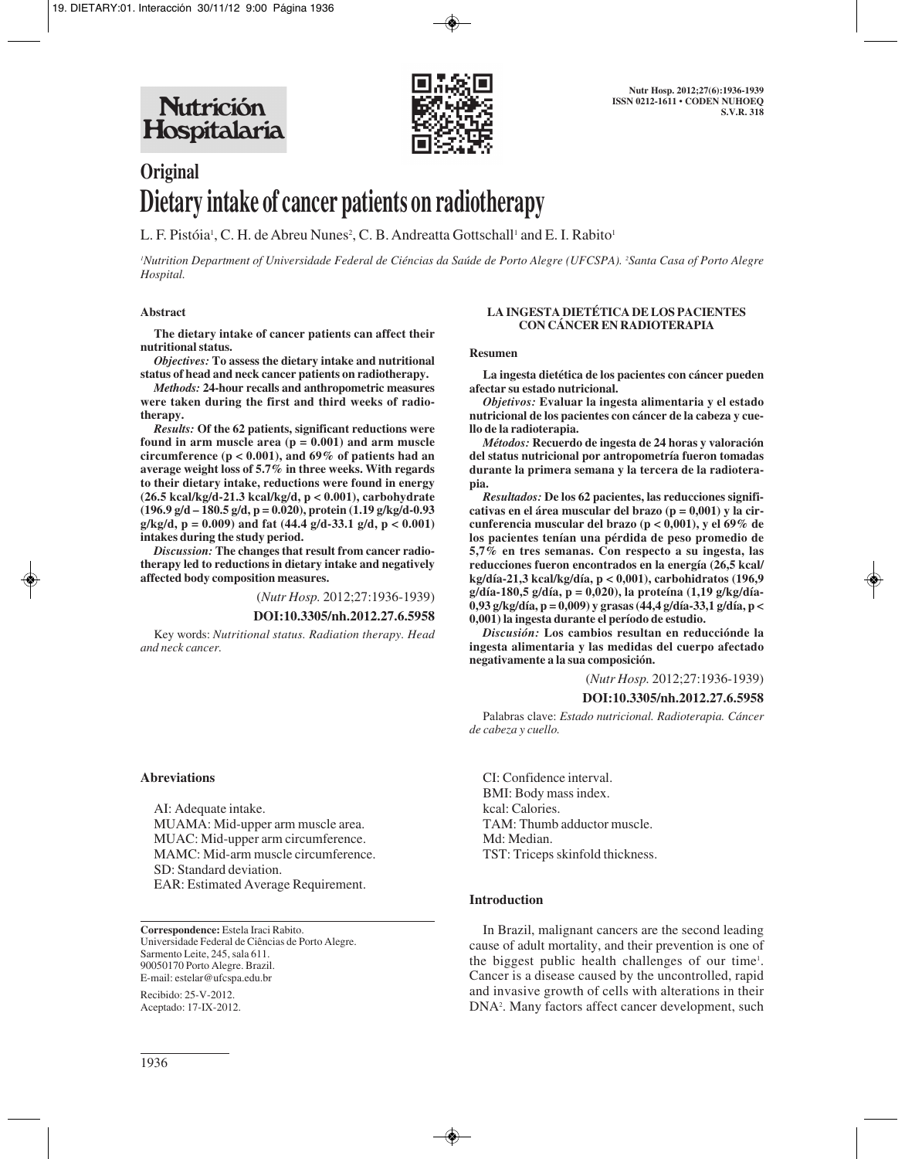**Nutrición** Hospitalaria



# **Original Dietary intake of cancer patients on radiotherapy**

L. F. Pistóia<sup>1</sup>, C. H. de Abreu Nunes<sup>2</sup>, C. B. Andreatta Gottschall<sup>1</sup> and E. I. Rabito<sup>1</sup>

*1 Nutrition Department of Universidade Federal de Ciéncias da Saúde de Porto Alegre (UFCSPA). 2 Santa Casa of Porto Alegre Hospital.*

#### **Abstract**

**The dietary intake of cancer patients can affect their nutritional status.** 

*Objectives:* **To assess the dietary intake and nutritional status of head and neck cancer patients on radiotherapy.**

*Methods:* **24-hour recalls and anthropometric measures were taken during the first and third weeks of radiotherapy.** 

*Results:* **Of the 62 patients, significant reductions were found in arm muscle area (p = 0.001) and arm muscle circumference (p < 0.001), and 69% of patients had an average weight loss of 5.7% in three weeks. With regards to their dietary intake, reductions were found in energy (26.5 kcal/kg/d-21.3 kcal/kg/d, p < 0.001), carbohydrate (196.9 g/d – 180.5 g/d, p = 0.020), protein (1.19 g/kg/d-0.93 g/kg/d, p = 0.009) and fat (44.4 g/d-33.1 g/d, p < 0.001) intakes during the study period.** 

*Discussion:* **The changes that result from cancer radiotherapy led to reductions in dietary intake and negatively affected body composition measures.** 

(*Nutr Hosp.* 2012;27:1936-1939)

**DOI:10.3305/nh.2012.27.6.5958**

Key words: *Nutritional status. Radiation therapy. Head and neck cancer.*

#### **Abreviations**

AI: Adequate intake. MUAMA: Mid-upper arm muscle area. MUAC: Mid-upper arm circumference. MAMC: Mid-arm muscle circumference. SD: Standard deviation. EAR: Estimated Average Requirement.

**Correspondence:** Estela Iraci Rabito. Universidade Federal de Ciências de Porto Alegre. Sarmento Leite, 245, sala 611. 90050170 Porto Alegre. Brazil. E-mail: estelar@ufcspa.edu.br

Recibido: 25-V-2012. Aceptado: 17-IX-2012.

#### **LA INGESTA DIETÉTICA DE LOS PACIENTES CON CÁNCER EN RADIOTERAPIA**

#### **Resumen**

**La ingesta dietética de los pacientes con cáncer pueden afectar su estado nutricional.** 

*Objetivos:* **Evaluar la ingesta alimentaria y el estado nutricional de los pacientes con cáncer de la cabeza y cuello de la radioterapia.** 

*Métodos:* **Recuerdo de ingesta de 24 horas y valoración del status nutricional por antropometría fueron tomadas durante la primera semana y la tercera de la radioterapia.** 

*Resultados:* **De los 62 pacientes, las reducciones significativas en el área muscular del brazo (p = 0,001) y la circunferencia muscular del brazo (p < 0,001), y el 69% de los pacientes tenían una pérdida de peso promedio de 5,7% en tres semanas. Con respecto a su ingesta, las reducciones fueron encontrados en la energía (26,5 kcal/ kg/día-21,3 kcal/kg/día, p < 0,001), carbohidratos (196,9 g/día-180,5 g/día, p = 0,020), la proteína (1,19 g/kg/día-0,93 g/kg/día, p = 0,009) y grasas (44,4 g/día-33,1 g/día, p < 0,001) la ingesta durante el período de estudio.** 

*Discusión:* **Los cambios resultan en reducciónde la ingesta alimentaria y las medidas del cuerpo afectado negativamente a la sua composición.** 

(*Nutr Hosp.* 2012;27:1936-1939)

## **DOI:10.3305/nh.2012.27.6.5958**

Palabras clave: *Estado nutricional. Radioterapia. Cáncer de cabeza y cuello.*

CI: Confidence interval. BMI: Body mass index. kcal: Calories. TAM: Thumb adductor muscle. Md: Median. TST: Triceps skinfold thickness.

#### **Introduction**

In Brazil, malignant cancers are the second leading cause of adult mortality, and their prevention is one of the biggest public health challenges of our time<sup>1</sup>. Cancer is a disease caused by the uncontrolled, rapid and invasive growth of cells with alterations in their DNA2 . Many factors affect cancer development, such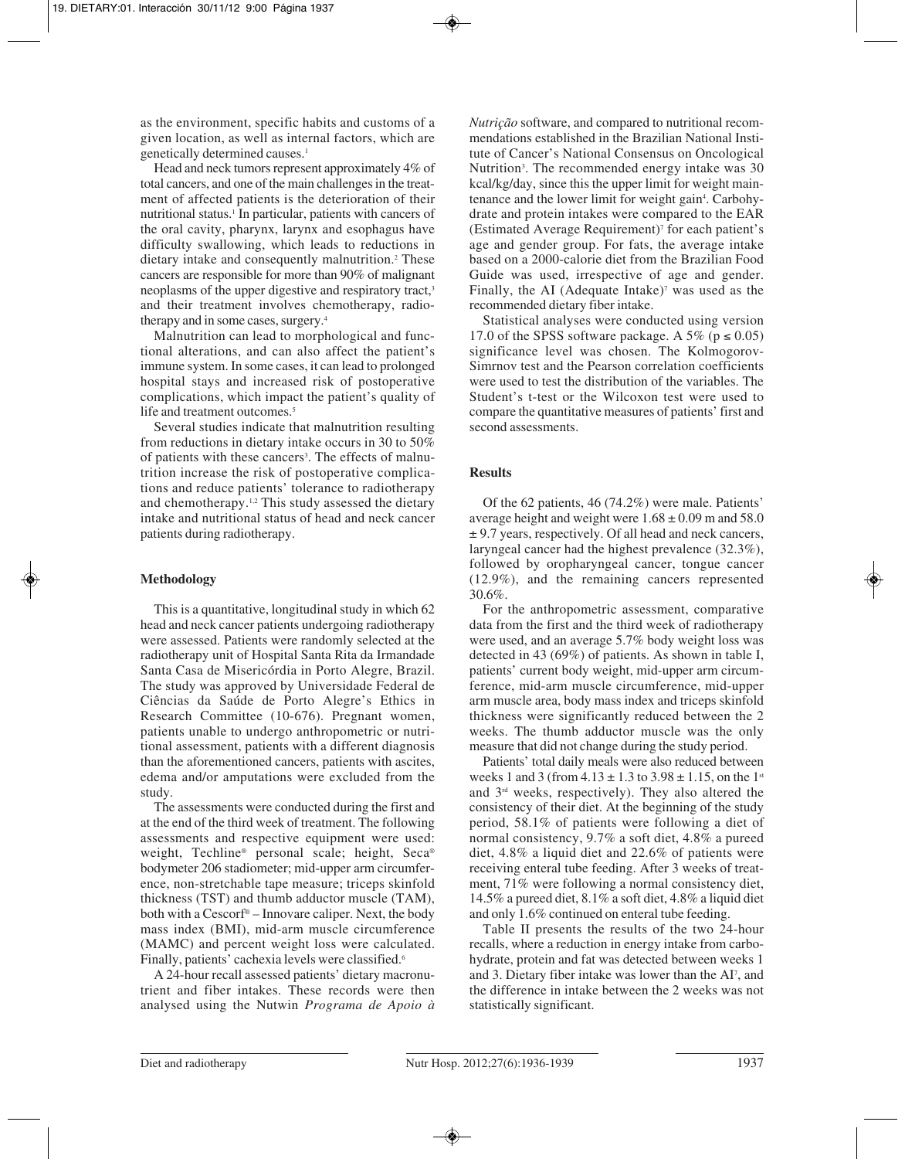as the environment, specific habits and customs of a given location, as well as internal factors, which are genetically determined causes.<sup>1</sup>

Head and neck tumors represent approximately 4% of total cancers, and one of the main challenges in the treatment of affected patients is the deterioration of their nutritional status.<sup>1</sup> In particular, patients with cancers of the oral cavity, pharynx, larynx and esophagus have difficulty swallowing, which leads to reductions in dietary intake and consequently malnutrition.2 These cancers are responsible for more than 90% of malignant neoplasms of the upper digestive and respiratory tract,<sup>3</sup> and their treatment involves chemotherapy, radiotherapy and in some cases, surgery.4

Malnutrition can lead to morphological and functional alterations, and can also affect the patient's immune system. In some cases, it can lead to prolonged hospital stays and increased risk of postoperative complications, which impact the patient's quality of life and treatment outcomes.<sup>5</sup>

Several studies indicate that malnutrition resulting from reductions in dietary intake occurs in 30 to 50% of patients with these cancers<sup>3</sup>. The effects of malnutrition increase the risk of postoperative complications and reduce patients' tolerance to radiotherapy and chemotherapy.1,2 This study assessed the dietary intake and nutritional status of head and neck cancer patients during radiotherapy.

# **Methodology**

This is a quantitative, longitudinal study in which 62 head and neck cancer patients undergoing radiotherapy were assessed. Patients were randomly selected at the radiotherapy unit of Hospital Santa Rita da Irmandade Santa Casa de Misericórdia in Porto Alegre, Brazil. The study was approved by Universidade Federal de Ciências da Saúde de Porto Alegre's Ethics in Research Committee (10-676). Pregnant women, patients unable to undergo anthropometric or nutritional assessment, patients with a different diagnosis than the aforementioned cancers, patients with ascites, edema and/or amputations were excluded from the study.

The assessments were conducted during the first and at the end of the third week of treatment. The following assessments and respective equipment were used: weight, Techline® personal scale; height, Seca® bodymeter 206 stadiometer; mid-upper arm circumference, non-stretchable tape measure; triceps skinfold thickness (TST) and thumb adductor muscle (TAM), both with a Cescorf® – Innovare caliper. Next, the body mass index (BMI), mid-arm muscle circumference (MAMC) and percent weight loss were calculated. Finally, patients' cachexia levels were classified.<sup>6</sup>

A 24-hour recall assessed patients' dietary macronutrient and fiber intakes. These records were then analysed using the Nutwin *Programa de Apoio à*

*Nutrição* software, and compared to nutritional recommendations established in the Brazilian National Institute of Cancer's National Consensus on Oncological Nutrition<sup>3</sup>. The recommended energy intake was 30 kcal/kg/day, since this the upper limit for weight maintenance and the lower limit for weight gain<sup>4</sup>. Carbohydrate and protein intakes were compared to the EAR (Estimated Average Requirement)<sup> $\bar{f}$ </sup> for each patient's age and gender group. For fats, the average intake based on a 2000-calorie diet from the Brazilian Food Guide was used, irrespective of age and gender. Finally, the AI (Adequate Intake) $\gamma$  was used as the recommended dietary fiber intake.

Statistical analyses were conducted using version 17.0 of the SPSS software package. A 5% ( $p \le 0.05$ ) significance level was chosen. The Kolmogorov-Simrnov test and the Pearson correlation coefficients were used to test the distribution of the variables. The Student's t-test or the Wilcoxon test were used to compare the quantitative measures of patients' first and second assessments.

# **Results**

Of the 62 patients, 46 (74.2%) were male. Patients' average height and weight were  $1.68 \pm 0.09$  m and 58.0 ± 9.7 years, respectively. Of all head and neck cancers, laryngeal cancer had the highest prevalence (32.3%), followed by oropharyngeal cancer, tongue cancer (12.9%), and the remaining cancers represented 30.6%.

For the anthropometric assessment, comparative data from the first and the third week of radiotherapy were used, and an average 5.7% body weight loss was detected in 43 (69%) of patients. As shown in table I, patients' current body weight, mid-upper arm circumference, mid-arm muscle circumference, mid-upper arm muscle area, body mass index and triceps skinfold thickness were significantly reduced between the 2 weeks. The thumb adductor muscle was the only measure that did not change during the study period.

Patients' total daily meals were also reduced between weeks 1 and 3 (from  $4.13 \pm 1.3$  to  $3.98 \pm 1.15$ , on the 1<sup>st</sup> and 3rd weeks, respectively). They also altered the consistency of their diet. At the beginning of the study period, 58.1% of patients were following a diet of normal consistency, 9.7% a soft diet, 4.8% a pureed diet, 4.8% a liquid diet and 22.6% of patients were receiving enteral tube feeding. After 3 weeks of treatment, 71% were following a normal consistency diet, 14.5% a pureed diet, 8.1% a soft diet, 4.8% a liquid diet and only 1.6% continued on enteral tube feeding.

Table II presents the results of the two 24-hour recalls, where a reduction in energy intake from carbohydrate, protein and fat was detected between weeks 1 and 3. Dietary fiber intake was lower than the AI<sup>7</sup>, and the difference in intake between the 2 weeks was not statistically significant.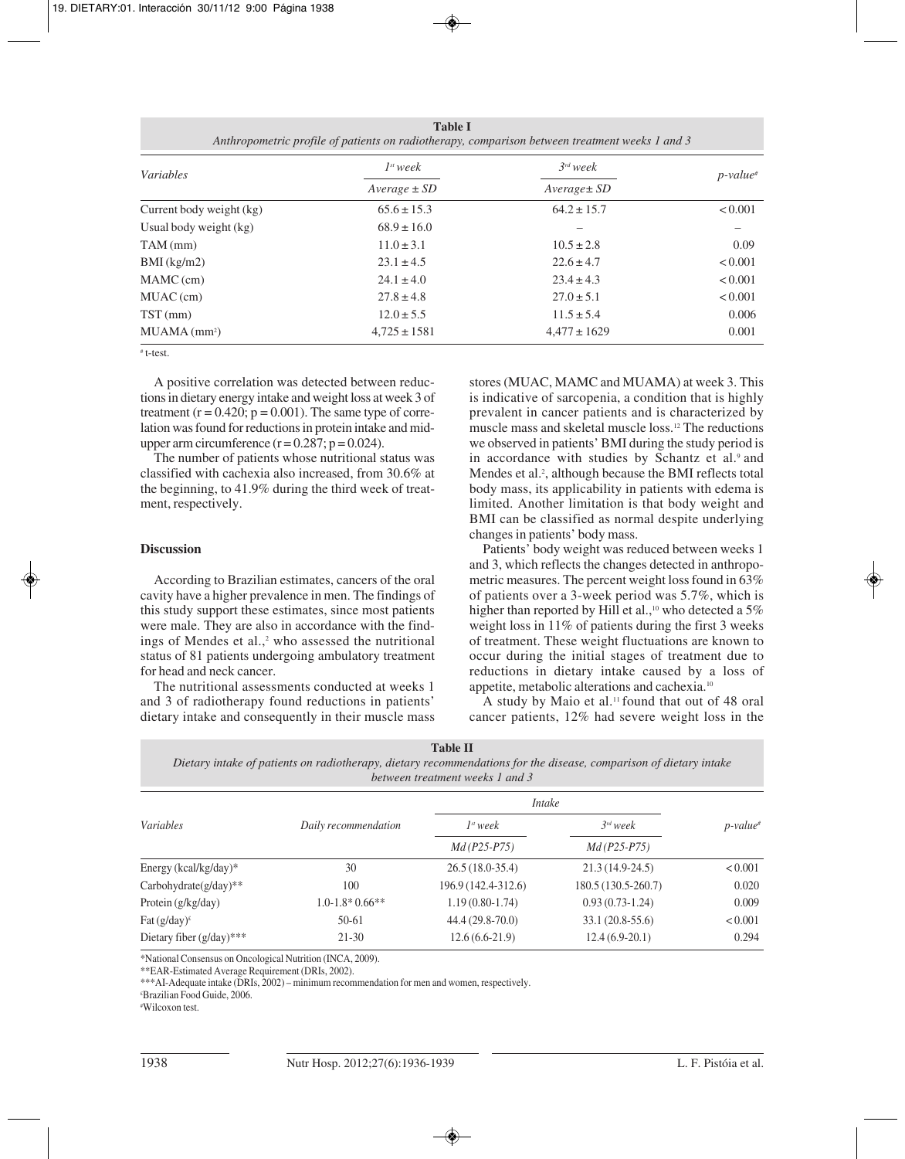**Table I** *Anthropometric profile of patients on radiotherapy, comparison between treatment weeks 1 and 3*

| <i>Variables</i>           | $I^{st}$ week    | $3^{rd}$ week    | $p$ -value <sup>#</sup> |
|----------------------------|------------------|------------------|-------------------------|
|                            | $Average \pm SD$ | $Average \pm SD$ |                         |
| Current body weight (kg)   | $65.6 \pm 15.3$  | $64.2 \pm 15.7$  | < 0.001                 |
| Usual body weight (kg)     | $68.9 \pm 16.0$  |                  |                         |
| $TAM$ (mm)                 | $11.0 \pm 3.1$   | $10.5 \pm 2.8$   | 0.09                    |
| $BMI$ (kg/m2)              | $23.1 \pm 4.5$   | $22.6 \pm 4.7$   | < 0.001                 |
| $MAMC$ (cm)                | $24.1 \pm 4.0$   | $23.4 \pm 4.3$   | < 0.001                 |
| $MUAC$ (cm)                | $27.8 \pm 4.8$   | $27.0 \pm 5.1$   | < 0.001                 |
| $TST$ (mm)                 | $12.0 \pm 5.5$   | $11.5 \pm 5.4$   | 0.006                   |
| $MUAMA$ (mm <sup>2</sup> ) | $4,725 \pm 1581$ | $4,477 \pm 1629$ | 0.001                   |

# t-test.

A positive correlation was detected between reductions in dietary energy intake and weight loss at week 3 of treatment  $(r = 0.420; p = 0.001)$ . The same type of correlation was found for reductions in protein intake and midupper arm circumference  $(r = 0.287; p = 0.024)$ .

The number of patients whose nutritional status was classified with cachexia also increased, from 30.6% at the beginning, to 41.9% during the third week of treatment, respectively.

# **Discussion**

According to Brazilian estimates, cancers of the oral cavity have a higher prevalence in men. The findings of this study support these estimates, since most patients were male. They are also in accordance with the findings of Mendes et al.,<sup>2</sup> who assessed the nutritional status of 81 patients undergoing ambulatory treatment for head and neck cancer.

The nutritional assessments conducted at weeks 1 and 3 of radiotherapy found reductions in patients' dietary intake and consequently in their muscle mass stores (MUAC, MAMC and MUAMA) at week 3. This is indicative of sarcopenia, a condition that is highly prevalent in cancer patients and is characterized by muscle mass and skeletal muscle loss.12 The reductions we observed in patients' BMI during the study period is in accordance with studies by Schantz et al.<sup>9</sup> and Mendes et al.<sup>2</sup>, although because the BMI reflects total body mass, its applicability in patients with edema is limited. Another limitation is that body weight and BMI can be classified as normal despite underlying changes in patients' body mass.

Patients' body weight was reduced between weeks 1 and 3, which reflects the changes detected in anthropometric measures. The percent weight loss found in 63% of patients over a 3-week period was 5.7%, which is higher than reported by Hill et al.,<sup>10</sup> who detected a 5% weight loss in 11% of patients during the first 3 weeks of treatment. These weight fluctuations are known to occur during the initial stages of treatment due to reductions in dietary intake caused by a loss of appetite, metabolic alterations and cachexia.10

A study by Maio et al.<sup>11</sup> found that out of 48 oral cancer patients, 12% had severe weight loss in the

**Table II** *Dietary intake of patients on radiotherapy, dietary recommendations for the disease, comparison of dietary intake between treatment weeks 1 and 3*

| <i>Variables</i>           | Daily recommendation                  | <i>Intake</i>                         |                                |                         |
|----------------------------|---------------------------------------|---------------------------------------|--------------------------------|-------------------------|
|                            |                                       | I <sup>st</sup> week<br>$Md(P25-P75)$ | $3^{rd}$ week<br>$Md(P25-P75)$ | $p$ -value <sup>#</sup> |
|                            |                                       |                                       |                                |                         |
| Carbohydrate $(g/day)**$   | 100                                   | 196.9 (142.4-312.6)                   | 180.5 (130.5-260.7)            | 0.020                   |
| Protein (g/kg/day)         | $1.0 - 1.8 \times 0.66 \times \times$ | $1.19(0.80-1.74)$                     | $0.93(0.73-1.24)$              | 0.009                   |
| Fat $(g/day)^t$            | 50-61                                 | $44.4(29.8-70.0)$                     | $33.1(20.8-55.6)$              | < 0.001                 |
| Dietary fiber $(g/day)***$ | 21-30                                 | $12.6(6.6-21.9)$                      | $12.4(6.9-20.1)$               | 0.294                   |

\*National Consensus on Oncological Nutrition (INCA, 2009).

\*\*EAR-Estimated Average Requirement (DRIs, 2002).

\*\*\*AI-Adequate intake (DRIs, 2002) – minimum recommendation for men and women, respectively.

£ Brazilian Food Guide, 2006.

# Wilcoxon test.